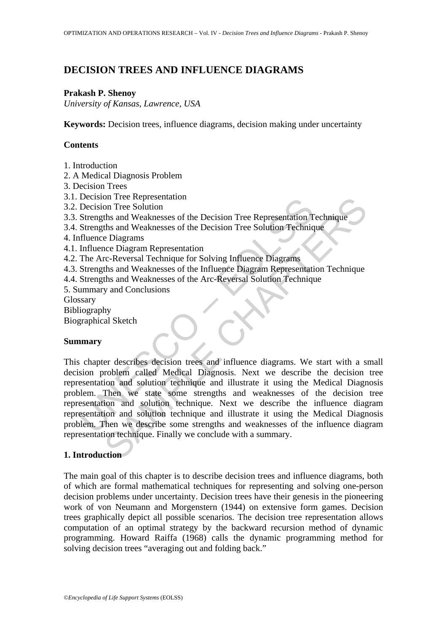# **DECISION TREES AND INFLUENCE DIAGRAMS**

### **Prakash P. Shenoy**

*University of Kansas, Lawrence, USA* 

**Keywords:** Decision trees, influence diagrams, decision making under uncertainty

## **Contents**

- 1. Introduction
- 2. A Medical Diagnosis Problem
- 3. Decision Trees
- 3.1. Decision Tree Representation
- 3.2. Decision Tree Solution
- 3.3. Strengths and Weaknesses of the Decision Tree Representation Technique
- 3.4. Strengths and Weaknesses of the Decision Tree Solution Technique
- 4. Influence Diagrams
- 4.1. Influence Diagram Representation
- 4.2. The Arc-Reversal Technique for Solving Influence Diagrams
- 4.3. Strengths and Weaknesses of the Influence Diagram Representation Technique
- 4.4. Strengths and Weaknesses of the Arc-Reversal Solution Technique
- 5. Summary and Conclusions
- Glossary
- Bibliography
- Biographical Sketch

## **Summary**

Decision Tree Representation<br>
Decision Tree Robution<br>
Decision Tree Solution<br>
Strengths and Weaknesses of the Decision Tree Representation<br>
T<br>
Strengths and Weaknesses of the Decision Tree Solution Techniq<br>
filuence Diagra on Tree Ropresentation<br>on Tree Solution<br>ths and Weaknesses of the Decision Tree Representation Technique<br>
bia and Weaknesses of the Decision Tree Rolution Technique<br>
che Diagrams<br>
cree Diagrams<br>
cree Diagrams<br>
ths and Weak This chapter describes decision trees and influence diagrams. We start with a small decision problem called Medical Diagnosis. Next we describe the decision tree representation and solution technique and illustrate it using the Medical Diagnosis problem. Then we state some strengths and weaknesses of the decision tree representation and solution technique. Next we describe the influence diagram representation and solution technique and illustrate it using the Medical Diagnosis problem. Then we describe some strengths and weaknesses of the influence diagram representation technique. Finally we conclude with a summary.

## **1. Introduction**

The main goal of this chapter is to describe decision trees and influence diagrams, both of which are formal mathematical techniques for representing and solving one-person decision problems under uncertainty. Decision trees have their genesis in the pioneering work of von Neumann and Morgenstern (1944) on extensive form games. Decision trees graphically depict all possible scenarios. The decision tree representation allows computation of an optimal strategy by the backward recursion method of dynamic programming. Howard Raiffa (1968) calls the dynamic programming method for solving decision trees "averaging out and folding back."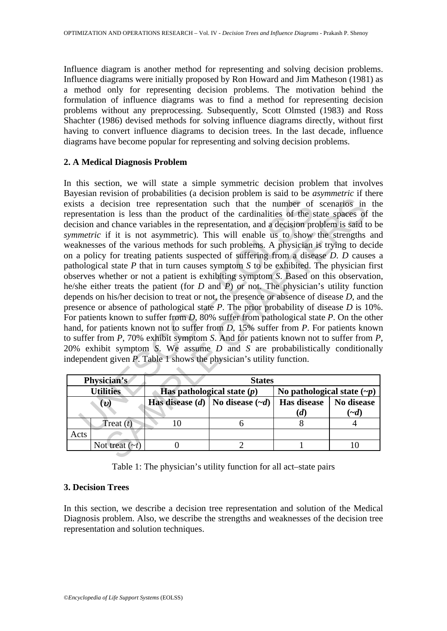Influence diagram is another method for representing and solving decision problems. Influence diagrams were initially proposed by Ron Howard and Jim Matheson (1981) as a method only for representing decision problems. The motivation behind the formulation of influence diagrams was to find a method for representing decision problems without any preprocessing. Subsequently, Scott Olmsted (1983) and Ross Shachter (1986) devised methods for solving influence diagrams directly, without first having to convert influence diagrams to decision trees. In the last decade, influence diagrams have become popular for representing and solving decision problems.

#### **2. A Medical Diagnosis Problem**

ts a decision tree representation such that the number of<br>esentation is less than the product of the cardinalities of the sion and chance variables in the representation, and a decision pr<br>*metric* if it is not asymmetric From the presentation such that the number of scenarios in<br>election tree representation such that the number of scenarios in<br>ion is less than the product of the cardinalities of the state spaces of<br>dchare variables in the In this section, we will state a simple symmetric decision problem that involves Bayesian revision of probabilities (a decision problem is said to be *asymmetric* if there exists a decision tree representation such that the number of scenarios in the representation is less than the product of the cardinalities of the state spaces of the decision and chance variables in the representation, and a decision problem is said to be *symmetric* if it is not asymmetric). This will enable us to show the strengths and weaknesses of the various methods for such problems. A physician is trying to decide on a policy for treating patients suspected of suffering from a disease *D*. *D* causes a pathological state *P* that in turn causes symptom *S* to be exhibited. The physician first observes whether or not a patient is exhibiting symptom *S*. Based on this observation, he/she either treats the patient (for *D* and *P*) or not. The physician's utility function depends on his/her decision to treat or not, the presence or absence of disease *D*, and the presence or absence of pathological state *P*. The prior probability of disease *D* is 10%. For patients known to suffer from *D*, 80% suffer from pathological state *P*. On the other hand, for patients known not to suffer from *D*, 15% suffer from *P*. For patients known to suffer from *P*, 70% exhibit symptom *S*. And for patients known not to suffer from *P*, 20% exhibit symptom *S*. We assume *D* and *S* are probabilistically conditionally independent given *P*. Table 1 shows the physician's utility function.

|                  | Physician's             | <b>States</b>                |                                         |                                  |            |
|------------------|-------------------------|------------------------------|-----------------------------------------|----------------------------------|------------|
| <b>Utilities</b> |                         | Has pathological state $(p)$ |                                         | No pathological state $(\neg p)$ |            |
|                  | $\boldsymbol{\upsilon}$ |                              | Has disease (d)   No disease $(\neg d)$ | Has disease                      | No disease |
|                  |                         |                              |                                         | (d)                              | $\sim d$   |
|                  | Treat $(t)$             |                              |                                         |                                  |            |
| Acts             |                         |                              |                                         |                                  |            |
|                  | Not treat $(\sim t)$    |                              |                                         |                                  |            |

Table 1: The physician's utility function for all act–state pairs

### **3. Decision Trees**

In this section, we describe a decision tree representation and solution of the Medical Diagnosis problem. Also, we describe the strengths and weaknesses of the decision tree representation and solution techniques.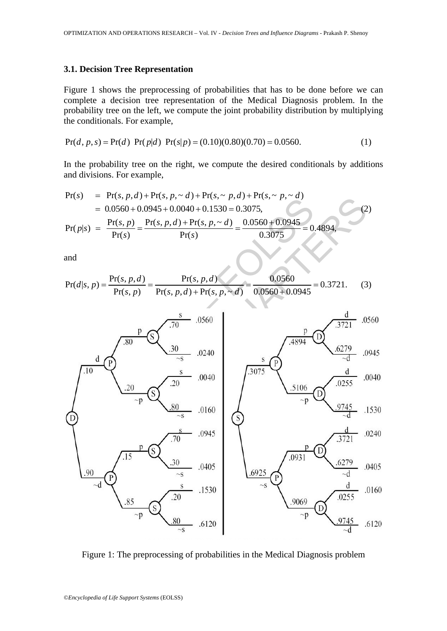#### **3.1. Decision Tree Representation**

Figure 1 shows the preprocessing of probabilities that has to be done before we can complete a decision tree representation of the Medical Diagnosis problem. In the probability tree on the left, we compute the joint probability distribution by multiplying the conditionals. For example,

$$
Pr(d, p, s) = Pr(d) Pr(p|d) Pr(s|p) = (0.10)(0.80)(0.70) = 0.0560.
$$
 (1)

In the probability tree on the right, we compute the desired conditionals by additions and divisions. For example,

$$
Pr(s) = Pr(s, p, d) + Pr(s, p, \sim d) + Pr(s, \sim p, d) + Pr(s, \sim p, \sim d)
$$
  
= 0.0560 + 0.0945 + 0.0040 + 0.1530 = 0.3075,  

$$
Pr(p|s) = \frac{Pr(s, p)}{Pr(s)} = \frac{Pr(s, p, d) + Pr(s, p, \sim d)}{Pr(s)} = \frac{0.0560 + 0.0945}{0.3075} = 0.4894,
$$
 (2)

and

$$
Pr(d|s, p) = \frac{Pr(s, p, d)}{Pr(s, p)} = \frac{Pr(s, p, d)}{Pr(s, p, d) + Pr(s, p, \sim d)} = \frac{0.0560}{0.0560 + 0.0945} = 0.3721. \tag{3}
$$



Figure 1: The preprocessing of probabilities in the Medical Diagnosis problem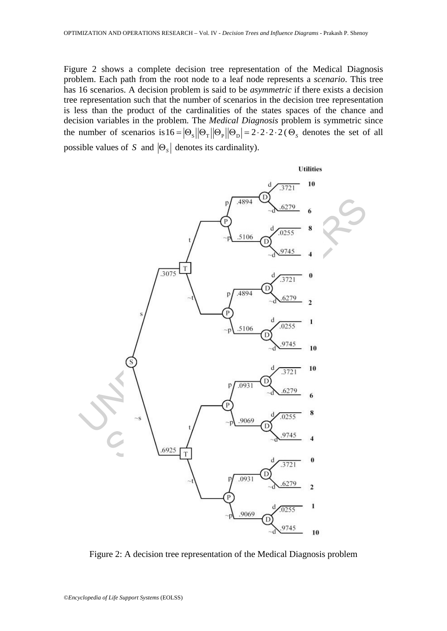Figure 2 shows a complete decision tree representation of the Medical Diagnosis problem. Each path from the root node to a leaf node represents a *scenario*. This tree has 16 scenarios. A decision problem is said to be *asymmetric* if there exists a decision tree representation such that the number of scenarios in the decision tree representation is less than the product of the cardinalities of the states spaces of the chance and decision variables in the problem. The *Medical Diagnosis* problem is symmetric since the number of scenarios is  $16 = |\Theta_s||\Theta_r||\Theta_p||= 2 \cdot 2 \cdot 2 \cdot 2$  ( $\Theta_s$  denotes the set of all possible values of *S* and  $|\Theta_s|$  denotes its cardinality).



Figure 2: A decision tree representation of the Medical Diagnosis problem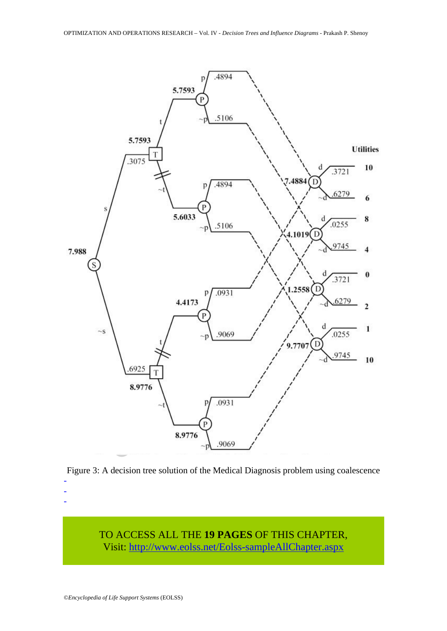



TO ACCESS ALL THE **19 PAGES** OF THIS CHAPTER, Visit[: http://www.eolss.net/Eolss-sampleAllChapter.aspx](https://www.eolss.net/ebooklib/sc_cart.aspx?File=E6-05-06-06)

- - -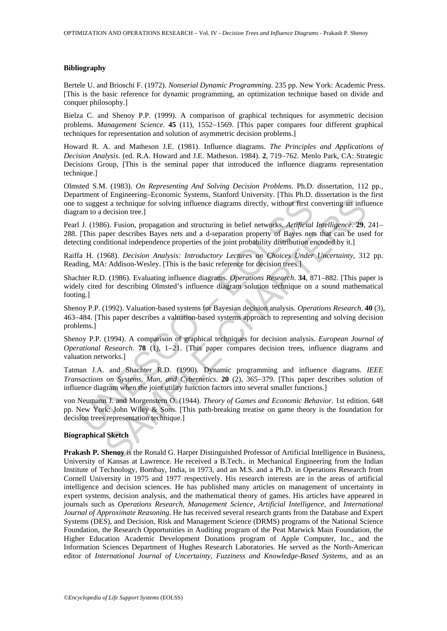#### **Bibliography**

Bertele U. and Brioschi F. (1972). *Nonserial Dynamic Programming*. 235 pp. New York: Academic Press. [This is the basic reference for dynamic programming, an optimization technique based on divide and conquer philosophy.]

Bielza C. and Shenoy P.P. (1999). A comparison of graphical techniques for asymmetric decision problems. *Management Science*. **45** (11), 1552−1569. [This paper compares four different graphical techniques for representation and solution of asymmetric decision problems.]

Howard R. A. and Matheson J.E. (1981). Influence diagrams. *The Principles and Applications of Decision Analysis*. (ed. R.A. Howard and J.E. Matheson. 1984). **2**, 719−762. Menlo Park, CA: Strategic Decisions Group, [This is the seminal paper that introduced the influence diagrams representation technique.]

Olmsted S.M. (1983). *On Representing And Solving Decision Problems*. Ph.D. dissertation, 112 pp., Department of Engineering–Economic Systems, Stanford University. [This Ph.D. dissertation is the first one to suggest a technique for solving influence diagrams directly, without first converting an influence diagram to a decision tree.]

Pearl J. (1986). Fusion, propagation and structuring in belief networks. *Artificial Intelligence*. **29**, 241– 288. [This paper describes Bayes nets and a d-separation property of Bayes nets that can be used for detecting conditional independence properties of the joint probability distribution encoded by it.]

Raiffa H. (1968). *Decision Analysis: Introductory Lectures on Choices Under Uncertainty*, 312 pp. Reading, MA: Addison-Wesley. [This is the basic reference for decision trees.]

Shachter R.D. (1986). Evaluating influence diagrams. *Operations Research*. **34**, 871−882. [This paper is widely cited for describing Olmsted's influence diagram solution technique on a sound mathematical footing.]

Shenoy P.P. (1992). Valuation-based systems for Bayesian decision analysis. *Operations Research*. **40** (3), 463−484. [This paper describes a valuation-based systems approach to representing and solving decision problems.]

Shenoy P.P. (1994). A comparison of graphical techniques for decision analysis. *European Journal of Operational Research*. **78** (1), 1−21. [This paper compares decision trees, influence diagrams and valuation networks.]

and the statement of expansion of potential product of expansion of expansion of the statement of expansion of decision tree.]<br>
I. (1986). Fusion, propagation and structuring in belief networks. *Artificial*<br>
(This paper d Fragmetiving-actomination crystems, standout conversing; (rins rins.) cassociation is a technique for solving influence diagrams directly, without first converting an influence disconner and a d-separation property of Bay Tatman J.A. and Shachter R.D. (1990). Dynamic programming and influence diagrams. *IEEE Transactions on Systems, Man, and Cybernetics*. **20** (2), 365−379. [This paper describes solution of influence diagram when the joint utility function factors into several smaller functions.]

von Neumann J. and Morgenstern O. (1944). *Theory of Games and Economic Behavior*. 1st edition. 648 pp. New York: John Wiley & Sons. [This path-breaking treatise on game theory is the foundation for decision trees representation technique.]

#### **Biographical Sketch**

**Prakash P. Shenoy** is the Ronald G. Harper Distinguished Professor of Artificial Intelligence in Business, University of Kansas at Lawrence. He received a B.Tech.. in Mechanical Engineering from the Indian Institute of Technology, Bombay, India, in 1973, and an M.S. and a Ph.D. in Operations Research from Cornell University in 1975 and 1977 respectively. His research interests are in the areas of artificial intelligence and decision sciences. He has published many articles on management of uncertainty in expert systems, decision analysis, and the mathematical theory of games. His articles have appeared in journals such as *Operations Research, Management Science*, *Artificial Intelligence*, and *International Journal of Approximate Reasoning*. He has received several research grants from the Database and Expert Systems (DES), and Decision, Risk and Management Science (DRMS) programs of the National Science Foundation, the Research Opportunities in Auditing program of the Peat Marwick Main Foundation, the Higher Education Academic Development Donations program of Apple Computer, Inc., and the Information Sciences Department of Hughes Research Laboratories. He served as the North-American editor of *International Journal of Uncertainty, Fuzziness and Knowledge-Based Systems*, and as an